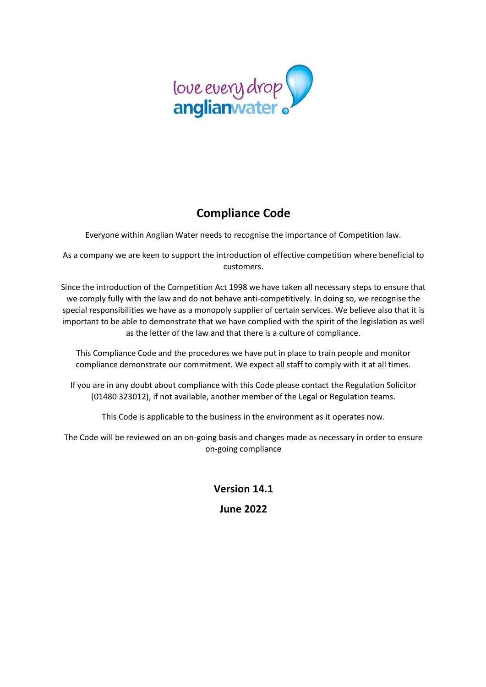

# **Compliance Code**

Everyone within Anglian Water needs to recognise the importance of Competition law.

As a company we are keen to support the introduction of effective competition where beneficial to customers.

Since the introduction of the Competition Act 1998 we have taken all necessary steps to ensure that we comply fully with the law and do not behave anti-competitively. In doing so, we recognise the special responsibilities we have as a monopoly supplier of certain services. We believe also that it is important to be able to demonstrate that we have complied with the spirit of the legislation as well as the letter of the law and that there is a culture of compliance.

This Compliance Code and the procedures we have put in place to train people and monitor compliance demonstrate our commitment. We expect all staff to comply with it at all times.

If you are in any doubt about compliance with this Code please contact the Regulation Solicitor (01480 323012), if not available, another member of the Legal or Regulation teams.

This Code is applicable to the business in the environment as it operates now.

The Code will be reviewed on an on-going basis and changes made as necessary in order to ensure on-going compliance

> **Version 14.1 June 2022**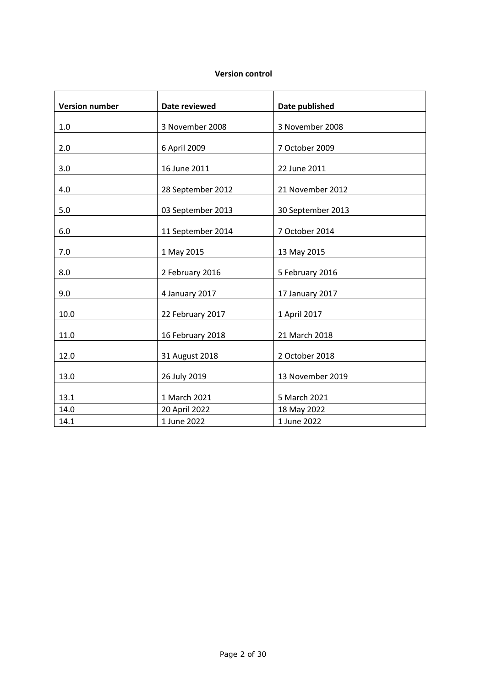# **Version control**

| <b>Version number</b> | Date reviewed     | Date published    |  |  |
|-----------------------|-------------------|-------------------|--|--|
| 1.0                   | 3 November 2008   | 3 November 2008   |  |  |
|                       |                   |                   |  |  |
| 2.0                   | 6 April 2009      | 7 October 2009    |  |  |
| 3.0                   | 16 June 2011      | 22 June 2011      |  |  |
| 4.0                   | 28 September 2012 | 21 November 2012  |  |  |
| 5.0                   | 03 September 2013 | 30 September 2013 |  |  |
| 6.0                   | 11 September 2014 | 7 October 2014    |  |  |
| 7.0                   | 1 May 2015        | 13 May 2015       |  |  |
| 8.0                   | 2 February 2016   | 5 February 2016   |  |  |
| 9.0                   | 4 January 2017    | 17 January 2017   |  |  |
| 10.0                  | 22 February 2017  | 1 April 2017      |  |  |
| 11.0                  | 16 February 2018  | 21 March 2018     |  |  |
| 12.0                  | 31 August 2018    | 2 October 2018    |  |  |
| 13.0                  | 26 July 2019      | 13 November 2019  |  |  |
| 13.1                  | 1 March 2021      | 5 March 2021      |  |  |
| 14.0                  | 20 April 2022     | 18 May 2022       |  |  |
| 14.1                  | 1 June 2022       | 1 June 2022       |  |  |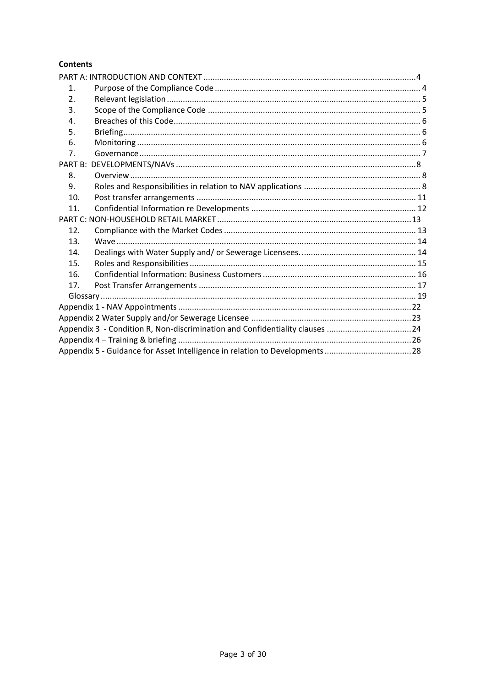# **Contents**

| 1.               |                                                                             |  |  |
|------------------|-----------------------------------------------------------------------------|--|--|
| $\overline{2}$ . |                                                                             |  |  |
| 3.               |                                                                             |  |  |
| 4.               |                                                                             |  |  |
| 5.               |                                                                             |  |  |
| 6.               |                                                                             |  |  |
| 7 <sub>1</sub>   |                                                                             |  |  |
|                  |                                                                             |  |  |
| 8.               |                                                                             |  |  |
| 9.               |                                                                             |  |  |
| 10.              |                                                                             |  |  |
| 11.              |                                                                             |  |  |
|                  |                                                                             |  |  |
| 12.              |                                                                             |  |  |
| 13.              |                                                                             |  |  |
| 14.              |                                                                             |  |  |
| 15.              |                                                                             |  |  |
| 16.              |                                                                             |  |  |
| 17.              |                                                                             |  |  |
|                  |                                                                             |  |  |
|                  |                                                                             |  |  |
|                  |                                                                             |  |  |
|                  | Appendix 3 - Condition R, Non-discrimination and Confidentiality clauses 24 |  |  |
|                  |                                                                             |  |  |
|                  | Appendix 5 - Guidance for Asset Intelligence in relation to Developments 28 |  |  |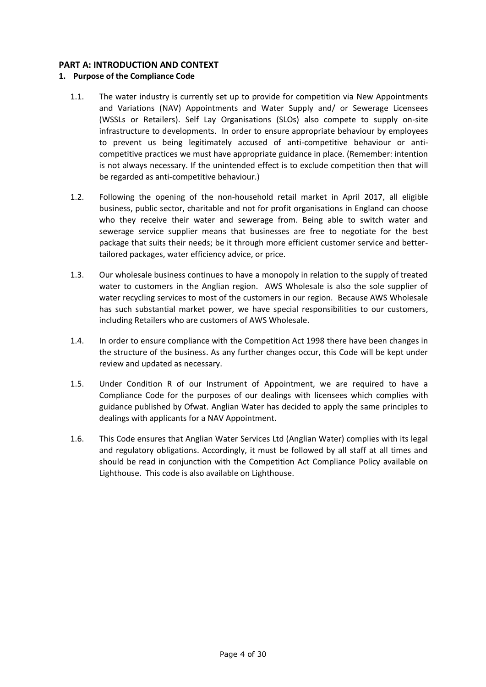# <span id="page-3-0"></span>**PART A: INTRODUCTION AND CONTEXT**

# <span id="page-3-1"></span>**1. Purpose of the Compliance Code**

- 1.1. The water industry is currently set up to provide for competition via New Appointments and Variations (NAV) Appointments and Water Supply and/ or Sewerage Licensees (WSSLs or Retailers). Self Lay Organisations (SLOs) also compete to supply on-site infrastructure to developments. In order to ensure appropriate behaviour by employees to prevent us being legitimately accused of anti-competitive behaviour or anticompetitive practices we must have appropriate guidance in place. (Remember: intention is not always necessary. If the unintended effect is to exclude competition then that will be regarded as anti-competitive behaviour.)
- 1.2. Following the opening of the non-household retail market in April 2017, all eligible business, public sector, charitable and not for profit organisations in England can choose who they receive their water and sewerage from. Being able to switch water and sewerage service supplier means that businesses are free to negotiate for the best package that suits their needs; be it through more efficient customer service and bettertailored packages, water efficiency advice, or price.
- 1.3. Our wholesale business continues to have a monopoly in relation to the supply of treated water to customers in the Anglian region. AWS Wholesale is also the sole supplier of water recycling services to most of the customers in our region. Because AWS Wholesale has such substantial market power, we have special responsibilities to our customers, including Retailers who are customers of AWS Wholesale.
- 1.4. In order to ensure compliance with the Competition Act 1998 there have been changes in the structure of the business. As any further changes occur, this Code will be kept under review and updated as necessary.
- 1.5. Under Condition R of our Instrument of Appointment, we are required to have a Compliance Code for the purposes of our dealings with licensees which complies with guidance published by Ofwat. Anglian Water has decided to apply the same principles to dealings with applicants for a NAV Appointment.
- 1.6. This Code ensures that Anglian Water Services Ltd (Anglian Water) complies with its legal and regulatory obligations. Accordingly, it must be followed by all staff at all times and should be read in conjunction with the Competition Act Compliance Policy available on Lighthouse. This code is also available on Lighthouse.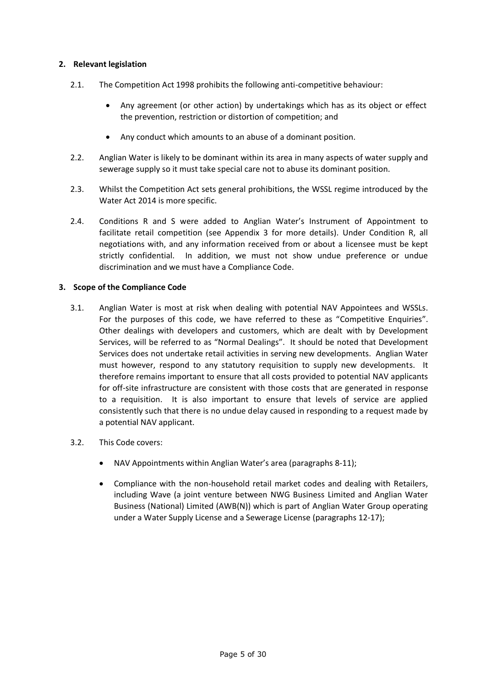# <span id="page-4-0"></span>**2. Relevant legislation**

- 2.1. The Competition Act 1998 prohibits the following anti-competitive behaviour:
	- Any agreement (or other action) by undertakings which has as its object or effect the prevention, restriction or distortion of competition; and
	- Any conduct which amounts to an abuse of a dominant position.
- 2.2. Anglian Water is likely to be dominant within its area in many aspects of water supply and sewerage supply so it must take special care not to abuse its dominant position.
- 2.3. Whilst the Competition Act sets general prohibitions, the WSSL regime introduced by the Water Act 2014 is more specific.
- 2.4. Conditions R and S were added to Anglian Water's Instrument of Appointment to facilitate retail competition (see Appendix 3 for more details). Under Condition R, all negotiations with, and any information received from or about a licensee must be kept strictly confidential. In addition, we must not show undue preference or undue discrimination and we must have a Compliance Code.

# <span id="page-4-1"></span>**3. Scope of the Compliance Code**

- 3.1. Anglian Water is most at risk when dealing with potential NAV Appointees and WSSLs. For the purposes of this code, we have referred to these as "Competitive Enquiries". Other dealings with developers and customers, which are dealt with by Development Services, will be referred to as "Normal Dealings". It should be noted that Development Services does not undertake retail activities in serving new developments. Anglian Water must however, respond to any statutory requisition to supply new developments. It therefore remains important to ensure that all costs provided to potential NAV applicants for off-site infrastructure are consistent with those costs that are generated in response to a requisition. It is also important to ensure that levels of service are applied consistently such that there is no undue delay caused in responding to a request made by a potential NAV applicant.
- 3.2. This Code covers:
	- NAV Appointments within Anglian Water's area (paragraphs 8-11);
	- Compliance with the non-household retail market codes and dealing with Retailers, including Wave (a joint venture between NWG Business Limited and Anglian Water Business (National) Limited (AWB(N)) which is part of Anglian Water Group operating under a Water Supply License and a Sewerage License (paragraphs 12-17);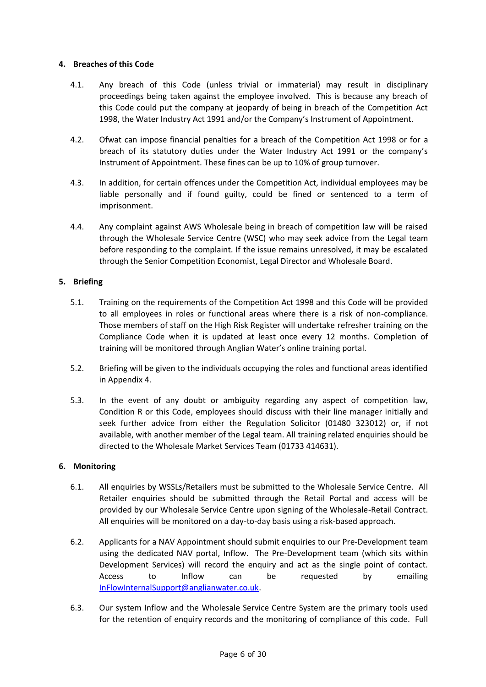# <span id="page-5-0"></span>**4. Breaches of this Code**

- 4.1. Any breach of this Code (unless trivial or immaterial) may result in disciplinary proceedings being taken against the employee involved. This is because any breach of this Code could put the company at jeopardy of being in breach of the Competition Act 1998, the Water Industry Act 1991 and/or the Company's Instrument of Appointment.
- 4.2. Ofwat can impose financial penalties for a breach of the Competition Act 1998 or for a breach of its statutory duties under the Water Industry Act 1991 or the company's Instrument of Appointment. These fines can be up to 10% of group turnover.
- 4.3. In addition, for certain offences under the Competition Act, individual employees may be liable personally and if found guilty, could be fined or sentenced to a term of imprisonment.
- 4.4. Any complaint against AWS Wholesale being in breach of competition law will be raised through the Wholesale Service Centre (WSC) who may seek advice from the Legal team before responding to the complaint. If the issue remains unresolved, it may be escalated through the Senior Competition Economist, Legal Director and Wholesale Board.

# <span id="page-5-1"></span>**5. Briefing**

- 5.1. Training on the requirements of the Competition Act 1998 and this Code will be provided to all employees in roles or functional areas where there is a risk of non-compliance. Those members of staff on the High Risk Register will undertake refresher training on the Compliance Code when it is updated at least once every 12 months. Completion of training will be monitored through Anglian Water's online training portal.
- 5.2. Briefing will be given to the individuals occupying the roles and functional areas identified in Appendix 4.
- 5.3. In the event of any doubt or ambiguity regarding any aspect of competition law, Condition R or this Code, employees should discuss with their line manager initially and seek further advice from either the Regulation Solicitor (01480 323012) or, if not available, with another member of the Legal team. All training related enquiries should be directed to the Wholesale Market Services Team (01733 414631).

# <span id="page-5-2"></span>**6. Monitoring**

- 6.1. All enquiries by WSSLs/Retailers must be submitted to the Wholesale Service Centre. All Retailer enquiries should be submitted through the Retail Portal and access will be provided by our Wholesale Service Centre upon signing of the Wholesale-Retail Contract. All enquiries will be monitored on a day-to-day basis using a risk-based approach.
- 6.2. Applicants for a NAV Appointment should submit enquiries to our Pre-Development team using the dedicated NAV portal, Inflow. The Pre-Development team (which sits within Development Services) will record the enquiry and act as the single point of contact. Access to Inflow can be requested by emailing [InFlowInternalSupport@anglianwater.co.uk.](mailto:InFlowInternalSupport@anglianwater.co.uk)
- 6.3. Our system Inflow and the Wholesale Service Centre System are the primary tools used for the retention of enquiry records and the monitoring of compliance of this code. Full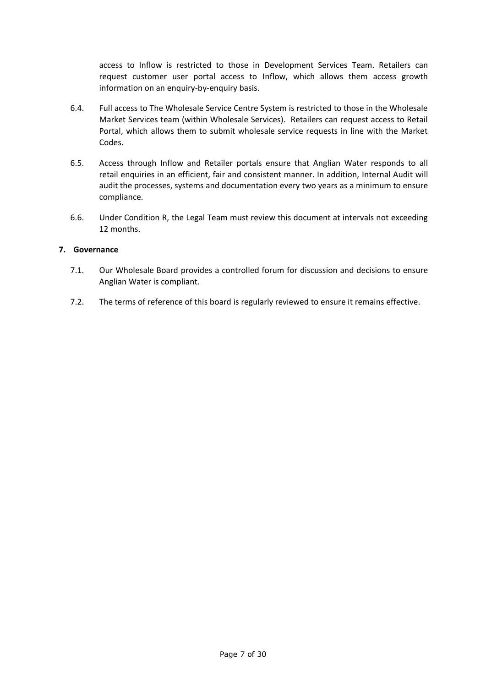access to Inflow is restricted to those in Development Services Team. Retailers can request customer user portal access to Inflow, which allows them access growth information on an enquiry-by-enquiry basis.

- 6.4. Full access to The Wholesale Service Centre System is restricted to those in the Wholesale Market Services team (within Wholesale Services). Retailers can request access to Retail Portal, which allows them to submit wholesale service requests in line with the Market Codes.
- 6.5. Access through Inflow and Retailer portals ensure that Anglian Water responds to all retail enquiries in an efficient, fair and consistent manner. In addition, Internal Audit will audit the processes, systems and documentation every two years as a minimum to ensure compliance.
- 6.6. Under Condition R, the Legal Team must review this document at intervals not exceeding 12 months.

# <span id="page-6-0"></span>**7. Governance**

- 7.1. Our Wholesale Board provides a controlled forum for discussion and decisions to ensure Anglian Water is compliant.
- 7.2. The terms of reference of this board is regularly reviewed to ensure it remains effective.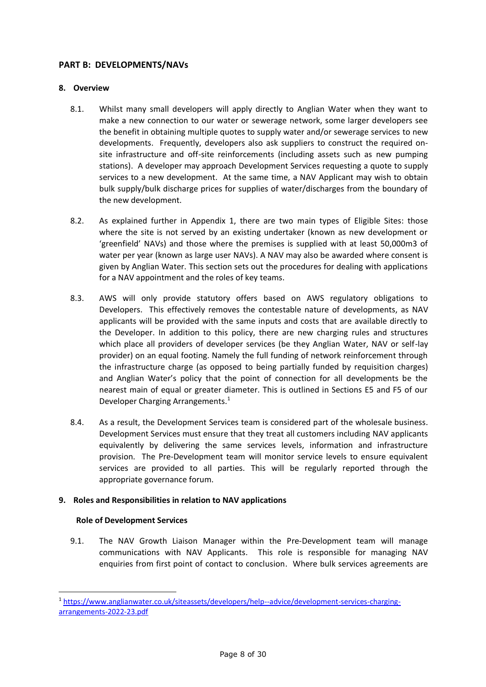# <span id="page-7-0"></span>**PART B: DEVELOPMENTS/NAVs**

# <span id="page-7-1"></span>**8. Overview**

- 8.1. Whilst many small developers will apply directly to Anglian Water when they want to make a new connection to our water or sewerage network, some larger developers see the benefit in obtaining multiple quotes to supply water and/or sewerage services to new developments. Frequently, developers also ask suppliers to construct the required onsite infrastructure and off-site reinforcements (including assets such as new pumping stations). A developer may approach Development Services requesting a quote to supply services to a new development. At the same time, a NAV Applicant may wish to obtain bulk supply/bulk discharge prices for supplies of water/discharges from the boundary of the new development.
- 8.2. As explained further in Appendix 1, there are two main types of Eligible Sites: those where the site is not served by an existing undertaker (known as new development or 'greenfield' NAVs) and those where the premises is supplied with at least 50,000m3 of water per year (known as large user NAVs). A NAV may also be awarded where consent is given by Anglian Water. This section sets out the procedures for dealing with applications for a NAV appointment and the roles of key teams.
- 8.3. AWS will only provide statutory offers based on AWS regulatory obligations to Developers. This effectively removes the contestable nature of developments, as NAV applicants will be provided with the same inputs and costs that are available directly to the Developer. In addition to this policy, there are new charging rules and structures which place all providers of developer services (be they Anglian Water, NAV or self-lay provider) on an equal footing. Namely the full funding of network reinforcement through the infrastructure charge (as opposed to being partially funded by requisition charges) and Anglian Water's policy that the point of connection for all developments be the nearest main of equal or greater diameter. This is outlined in Sections E5 and F5 of our Developer Charging Arrangements.<sup>1</sup>
- 8.4. As a result, the Development Services team is considered part of the wholesale business. Development Services must ensure that they treat all customers including NAV applicants equivalently by delivering the same services levels, information and infrastructure provision. The Pre-Development team will monitor service levels to ensure equivalent services are provided to all parties. This will be regularly reported through the appropriate governance forum.

# <span id="page-7-2"></span>**9. Roles and Responsibilities in relation to NAV applications**

# **Role of Development Services**

9.1. The NAV Growth Liaison Manager within the Pre-Development team will manage communications with NAV Applicants. This role is responsible for managing NAV enquiries from first point of contact to conclusion. Where bulk services agreements are

<sup>1</sup> [https://www.anglianwater.co.uk/siteassets/developers/help--advice/development-services-charging](https://www.anglianwater.co.uk/siteassets/developers/help--advice/development-services-charging-arrangements-2022-23.pdf)[arrangements-2022-23.pdf](https://www.anglianwater.co.uk/siteassets/developers/help--advice/development-services-charging-arrangements-2022-23.pdf)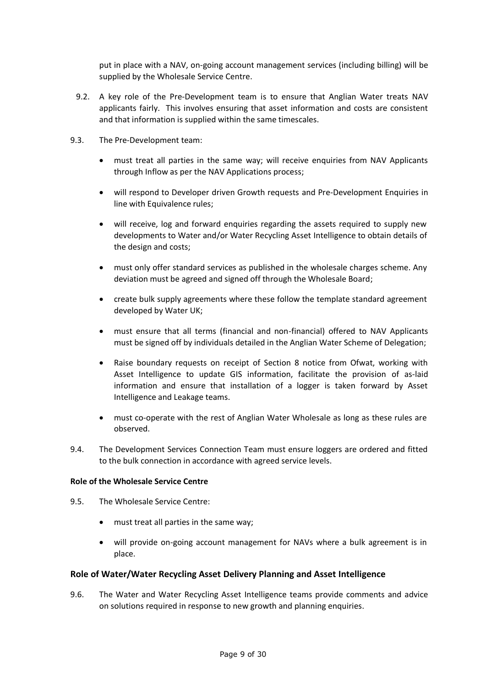put in place with a NAV, on-going account management services (including billing) will be supplied by the Wholesale Service Centre.

- 9.2. A key role of the Pre-Development team is to ensure that Anglian Water treats NAV applicants fairly. This involves ensuring that asset information and costs are consistent and that information is supplied within the same timescales.
- 9.3. The Pre-Development team:
	- must treat all parties in the same way; will receive enquiries from NAV Applicants through Inflow as per the NAV Applications process;
	- will respond to Developer driven Growth requests and Pre-Development Enquiries in line with Equivalence rules;
	- will receive, log and forward enquiries regarding the assets required to supply new developments to Water and/or Water Recycling Asset Intelligence to obtain details of the design and costs;
	- must only offer standard services as published in the wholesale charges scheme. Any deviation must be agreed and signed off through the Wholesale Board;
	- create bulk supply agreements where these follow the template standard agreement developed by Water UK;
	- must ensure that all terms (financial and non-financial) offered to NAV Applicants must be signed off by individuals detailed in the Anglian Water Scheme of Delegation;
	- Raise boundary requests on receipt of Section 8 notice from Ofwat, working with Asset Intelligence to update GIS information, facilitate the provision of as-laid information and ensure that installation of a logger is taken forward by Asset Intelligence and Leakage teams.
	- must co-operate with the rest of Anglian Water Wholesale as long as these rules are observed.
- 9.4. The Development Services Connection Team must ensure loggers are ordered and fitted to the bulk connection in accordance with agreed service levels.

# **Role of the Wholesale Service Centre**

- 9.5. The Wholesale Service Centre:
	- must treat all parties in the same way;
	- will provide on-going account management for NAVs where a bulk agreement is in place.

# **Role of Water/Water Recycling Asset Delivery Planning and Asset Intelligence**

9.6. The Water and Water Recycling Asset Intelligence teams provide comments and advice on solutions required in response to new growth and planning enquiries.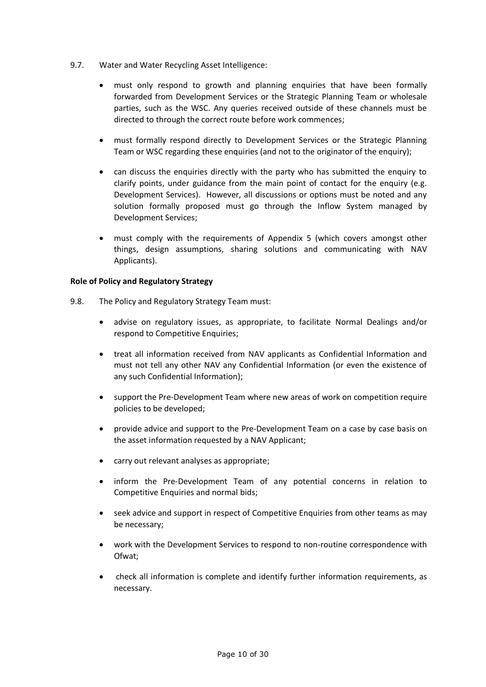- 9.7. Water and Water Recycling Asset Intelligence:
	- must only respond to growth and planning enquiries that have been formally forwarded from Development Services or the Strategic Planning Team or wholesale parties, such as the WSC. Any queries received outside of these channels must be directed to through the correct route before work commences;
	- must formally respond directly to Development Services or the Strategic Planning Team or WSC regarding these enquiries (and not to the originator of the enquiry);
	- can discuss the enquiries directly with the party who has submitted the enquiry to clarify points, under guidance from the main point of contact for the enquiry (e.g. Development Services). However, all discussions or options must be noted and any solution formally proposed must go through the Inflow System managed by Development Services;
	- must comply with the requirements of Appendix 5 (which covers amongst other things, design assumptions, sharing solutions and communicating with NAV Applicants).

# **Role of Policy and Regulatory Strategy**

- 9.8. The Policy and Regulatory Strategy Team must:
	- advise on regulatory issues, as appropriate, to facilitate Normal Dealings and/or respond to Competitive Enquiries;
	- treat all information received from NAV applicants as Confidential Information and must not tell any other NAV any Confidential Information (or even the existence of any such Confidential Information);
	- support the Pre-Development Team where new areas of work on competition require policies to be developed;
	- provide advice and support to the Pre-Development Team on a case by case basis on the asset information requested by a NAV Applicant;
	- carry out relevant analyses as appropriate;
	- inform the Pre-Development Team of any potential concerns in relation to Competitive Enquiries and normal bids;
	- seek advice and support in respect of Competitive Enquiries from other teams as may be necessary;
	- work with the Development Services to respond to non-routine correspondence with Ofwat;
	- check all information is complete and identify further information requirements, as necessary.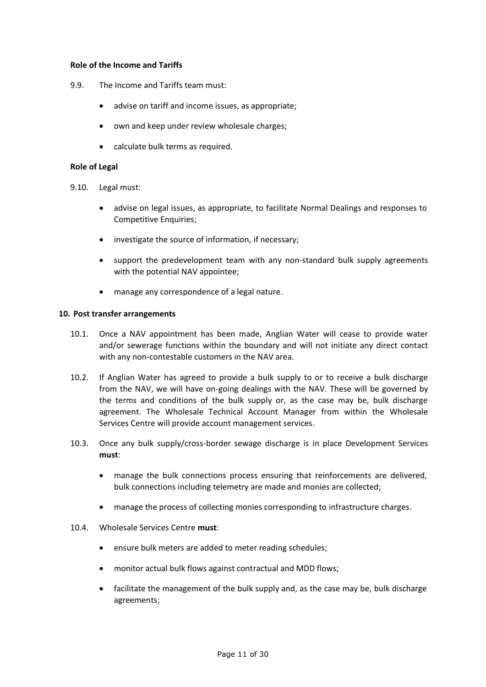## **Role of the Income and Tariffs**

- 9.9. The Income and Tariffs team must:
	- advise on tariff and income issues, as appropriate;
	- own and keep under review wholesale charges;
	- calculate bulk terms as required.

#### **Role of Legal**

- 9.10. Legal must:
	- advise on legal issues, as appropriate, to facilitate Normal Dealings and responses to Competitive Enquiries;
	- investigate the source of information, if necessary;
	- support the predevelopment team with any non-standard bulk supply agreements with the potential NAV appointee;
	- manage any correspondence of a legal nature.

#### <span id="page-10-0"></span>**10. Post transfer arrangements**

- 10.1. Once a NAV appointment has been made, Anglian Water will cease to provide water and/or sewerage functions within the boundary and will not initiate any direct contact with any non-contestable customers in the NAV area.
- 10.2. If Anglian Water has agreed to provide a bulk supply to or to receive a bulk discharge from the NAV, we will have on-going dealings with the NAV. These will be governed by the terms and conditions of the bulk supply or, as the case may be, bulk discharge agreement. The Wholesale Technical Account Manager from within the Wholesale Services Centre will provide account management services.
- 10.3. Once any bulk supply/cross-border sewage discharge is in place Development Services **must**:
	- manage the bulk connections process ensuring that reinforcements are delivered, bulk connections including telemetry are made and monies are collected;
	- manage the process of collecting monies corresponding to infrastructure charges.
- 10.4. Wholesale Services Centre **must**:
	- ensure bulk meters are added to meter reading schedules;
	- monitor actual bulk flows against contractual and MDD flows;
	- facilitate the management of the bulk supply and, as the case may be, bulk discharge agreements;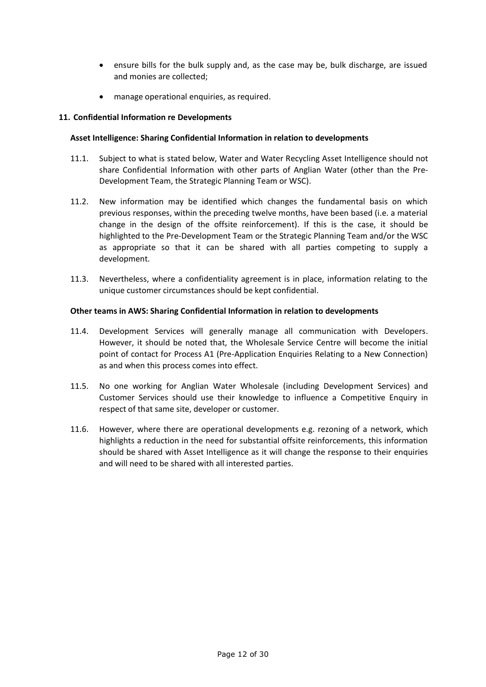- ensure bills for the bulk supply and, as the case may be, bulk discharge, are issued and monies are collected;
- manage operational enquiries, as required.

# <span id="page-11-0"></span>**11. Confidential Information re Developments**

# **Asset Intelligence: Sharing Confidential Information in relation to developments**

- 11.1. Subject to what is stated below, Water and Water Recycling Asset Intelligence should not share Confidential Information with other parts of Anglian Water (other than the Pre-Development Team, the Strategic Planning Team or WSC).
- 11.2. New information may be identified which changes the fundamental basis on which previous responses, within the preceding twelve months, have been based (i.e. a material change in the design of the offsite reinforcement). If this is the case, it should be highlighted to the Pre-Development Team or the Strategic Planning Team and/or the WSC as appropriate so that it can be shared with all parties competing to supply a development.
- 11.3. Nevertheless, where a confidentiality agreement is in place, information relating to the unique customer circumstances should be kept confidential.

# **Other teams in AWS: Sharing Confidential Information in relation to developments**

- 11.4. Development Services will generally manage all communication with Developers. However, it should be noted that, the Wholesale Service Centre will become the initial point of contact for Process A1 (Pre-Application Enquiries Relating to a New Connection) as and when this process comes into effect.
- 11.5. No one working for Anglian Water Wholesale (including Development Services) and Customer Services should use their knowledge to influence a Competitive Enquiry in respect of that same site, developer or customer.
- 11.6. However, where there are operational developments e.g. rezoning of a network, which highlights a reduction in the need for substantial offsite reinforcements, this information should be shared with Asset Intelligence as it will change the response to their enquiries and will need to be shared with all interested parties.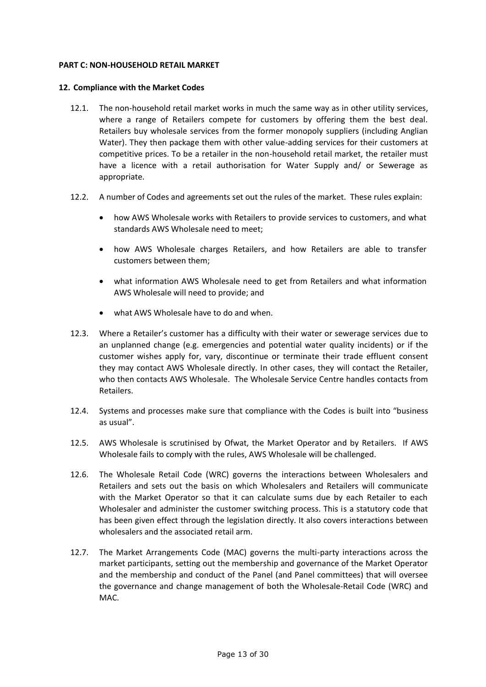# <span id="page-12-0"></span>**PART C: NON-HOUSEHOLD RETAIL MARKET**

#### <span id="page-12-1"></span>**12. Compliance with the Market Codes**

- 12.1. The non-household retail market works in much the same way as in other utility services, where a range of Retailers compete for customers by offering them the best deal. Retailers buy wholesale services from the former monopoly suppliers (including Anglian Water). They then package them with other value-adding services for their customers at competitive prices. To be a retailer in the non-household retail market, the retailer must have a licence with a retail authorisation for Water Supply and/ or Sewerage as appropriate.
- 12.2. A number of Codes and agreements set out the rules of the market. These rules explain:
	- how AWS Wholesale works with Retailers to provide services to customers, and what standards AWS Wholesale need to meet;
	- how AWS Wholesale charges Retailers, and how Retailers are able to transfer customers between them;
	- what information AWS Wholesale need to get from Retailers and what information AWS Wholesale will need to provide; and
	- what AWS Wholesale have to do and when.
- 12.3. Where a Retailer's customer has a difficulty with their water or sewerage services due to an unplanned change (e.g. emergencies and potential water quality incidents) or if the customer wishes apply for, vary, discontinue or terminate their trade effluent consent they may contact AWS Wholesale directly. In other cases, they will contact the Retailer, who then contacts AWS Wholesale. The Wholesale Service Centre handles contacts from Retailers.
- 12.4. Systems and processes make sure that compliance with the Codes is built into "business as usual".
- 12.5. AWS Wholesale is scrutinised by Ofwat, the Market Operator and by Retailers. If AWS Wholesale fails to comply with the rules, AWS Wholesale will be challenged.
- 12.6. The Wholesale Retail Code (WRC) governs the interactions between Wholesalers and Retailers and sets out the basis on which Wholesalers and Retailers will communicate with the Market Operator so that it can calculate sums due by each Retailer to each Wholesaler and administer the customer switching process. This is a statutory code that has been given effect through the legislation directly. It also covers interactions between wholesalers and the associated retail arm.
- 12.7. The Market Arrangements Code (MAC) governs the multi-party interactions across the market participants, setting out the membership and governance of the Market Operator and the membership and conduct of the Panel (and Panel committees) that will oversee the governance and change management of both the Wholesale-Retail Code (WRC) and MAC.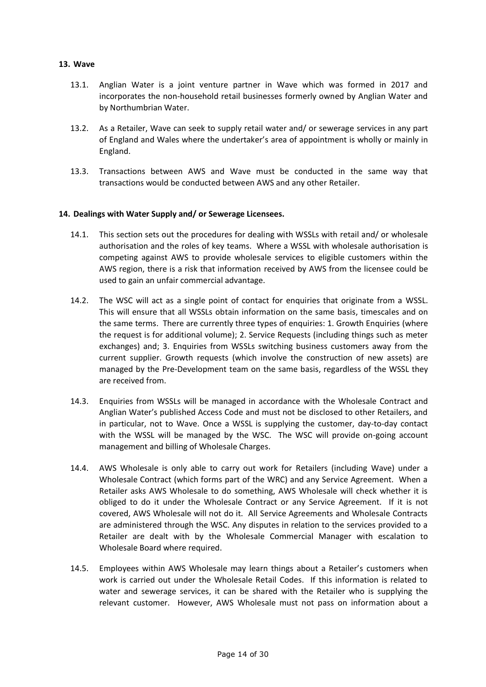# <span id="page-13-0"></span>**13. Wave**

- 13.1. Anglian Water is a joint venture partner in Wave which was formed in 2017 and incorporates the non-household retail businesses formerly owned by Anglian Water and by Northumbrian Water.
- 13.2. As a Retailer, Wave can seek to supply retail water and/ or sewerage services in any part of England and Wales where the undertaker's area of appointment is wholly or mainly in England.
- 13.3. Transactions between AWS and Wave must be conducted in the same way that transactions would be conducted between AWS and any other Retailer.

# <span id="page-13-1"></span>**14. Dealings with Water Supply and/ or Sewerage Licensees.**

- 14.1. This section sets out the procedures for dealing with WSSLs with retail and/ or wholesale authorisation and the roles of key teams. Where a WSSL with wholesale authorisation is competing against AWS to provide wholesale services to eligible customers within the AWS region, there is a risk that information received by AWS from the licensee could be used to gain an unfair commercial advantage.
- 14.2. The WSC will act as a single point of contact for enquiries that originate from a WSSL. This will ensure that all WSSLs obtain information on the same basis, timescales and on the same terms. There are currently three types of enquiries: 1. Growth Enquiries (where the request is for additional volume); 2. Service Requests (including things such as meter exchanges) and; 3. Enquiries from WSSLs switching business customers away from the current supplier. Growth requests (which involve the construction of new assets) are managed by the Pre-Development team on the same basis, regardless of the WSSL they are received from.
- 14.3. Enquiries from WSSLs will be managed in accordance with the Wholesale Contract and Anglian Water's published Access Code and must not be disclosed to other Retailers, and in particular, not to Wave. Once a WSSL is supplying the customer, day-to-day contact with the WSSL will be managed by the WSC. The WSC will provide on-going account management and billing of Wholesale Charges.
- 14.4. AWS Wholesale is only able to carry out work for Retailers (including Wave) under a Wholesale Contract (which forms part of the WRC) and any Service Agreement. When a Retailer asks AWS Wholesale to do something, AWS Wholesale will check whether it is obliged to do it under the Wholesale Contract or any Service Agreement. If it is not covered, AWS Wholesale will not do it. All Service Agreements and Wholesale Contracts are administered through the WSC. Any disputes in relation to the services provided to a Retailer are dealt with by the Wholesale Commercial Manager with escalation to Wholesale Board where required.
- 14.5. Employees within AWS Wholesale may learn things about a Retailer's customers when work is carried out under the Wholesale Retail Codes. If this information is related to water and sewerage services, it can be shared with the Retailer who is supplying the relevant customer. However, AWS Wholesale must not pass on information about a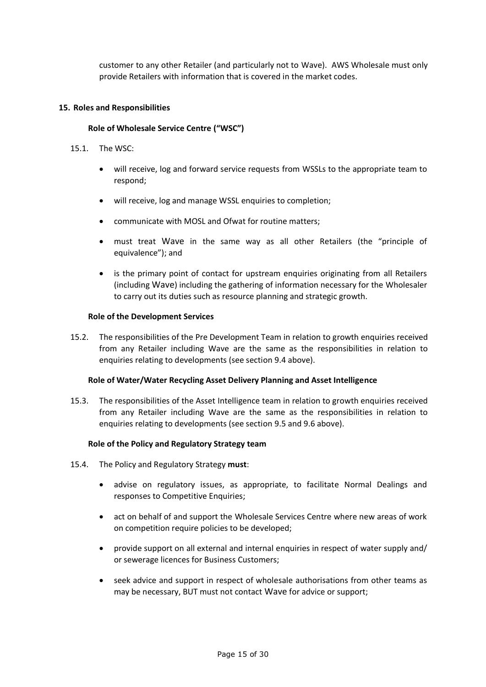customer to any other Retailer (and particularly not to Wave). AWS Wholesale must only provide Retailers with information that is covered in the market codes.

## <span id="page-14-0"></span>**15. Roles and Responsibilities**

## **Role of Wholesale Service Centre ("WSC")**

- <span id="page-14-1"></span>15.1. The WSC:
	- will receive, log and forward service requests from WSSLs to the appropriate team to respond;
	- will receive, log and manage WSSL enquiries to completion;
	- communicate with MOSL and Ofwat for routine matters;
	- must treat Wave in the same way as all other Retailers (the "principle of equivalence"); and
	- is the primary point of contact for upstream enquiries originating from all Retailers (including Wave) including the gathering of information necessary for the Wholesaler to carry out its duties such as resource planning and strategic growth.

#### **Role of the Development Services**

15.2. The responsibilities of the Pre Development Team in relation to growth enquiries received from any Retailer including Wave are the same as the responsibilities in relation to enquiries relating to developments (see section 9.4 above).

#### **Role of Water/Water Recycling Asset Delivery Planning and Asset Intelligence**

15.3. The responsibilities of the Asset Intelligence team in relation to growth enquiries received from any Retailer including Wave are the same as the responsibilities in relation to enquiries relating to developments (see section 9.5 and 9.6 above).

#### **Role of the Policy and Regulatory Strategy team**

- 15.4. The Policy and Regulatory Strategy **must**:
	- advise on regulatory issues, as appropriate, to facilitate Normal Dealings and responses to Competitive Enquiries;
	- act on behalf of and support the Wholesale Services Centre where new areas of work on competition require policies to be developed;
	- provide support on all external and internal enquiries in respect of water supply and/ or sewerage licences for Business Customers;
	- seek advice and support in respect of wholesale authorisations from other teams as may be necessary, BUT must not contact Wave for advice or support;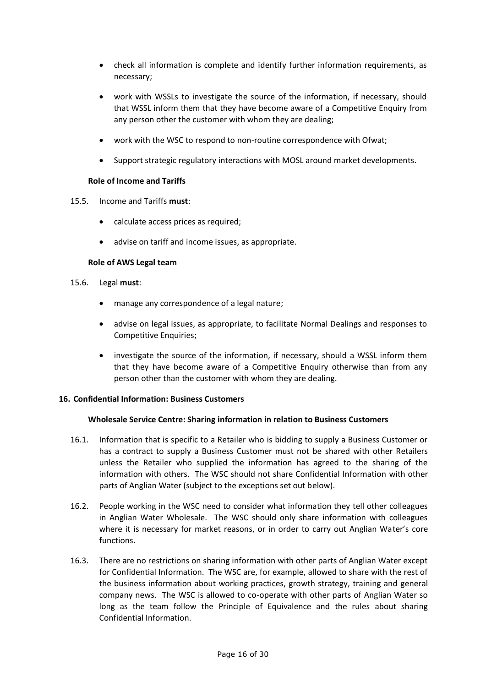- check all information is complete and identify further information requirements, as necessary;
- work with WSSLs to investigate the source of the information, if necessary, should that WSSL inform them that they have become aware of a Competitive Enquiry from any person other the customer with whom they are dealing;
- work with the WSC to respond to non-routine correspondence with Ofwat;
- Support strategic regulatory interactions with MOSL around market developments.

#### **Role of Income and Tariffs**

- 15.5. Income and Tariffs **must**:
	- calculate access prices as required;
	- advise on tariff and income issues, as appropriate.

#### **Role of AWS Legal team**

- 15.6. Legal **must**:
	- manage any correspondence of a legal nature;
	- advise on legal issues, as appropriate, to facilitate Normal Dealings and responses to Competitive Enquiries;
	- investigate the source of the information, if necessary, should a WSSL inform them that they have become aware of a Competitive Enquiry otherwise than from any person other than the customer with whom they are dealing.

# <span id="page-15-0"></span>**16. Confidential Information: Business Customers**

# **Wholesale Service Centre: Sharing information in relation to Business Customers**

- 16.1. Information that is specific to a Retailer who is bidding to supply a Business Customer or has a contract to supply a Business Customer must not be shared with other Retailers unless the Retailer who supplied the information has agreed to the sharing of the information with others. The WSC should not share Confidential Information with other parts of Anglian Water (subject to the exceptions set out below).
- 16.2. People working in the WSC need to consider what information they tell other colleagues in Anglian Water Wholesale. The WSC should only share information with colleagues where it is necessary for market reasons, or in order to carry out Anglian Water's core functions.
- 16.3. There are no restrictions on sharing information with other parts of Anglian Water except for Confidential Information. The WSC are, for example, allowed to share with the rest of the business information about working practices, growth strategy, training and general company news. The WSC is allowed to co-operate with other parts of Anglian Water so long as the team follow the Principle of Equivalence and the rules about sharing Confidential Information.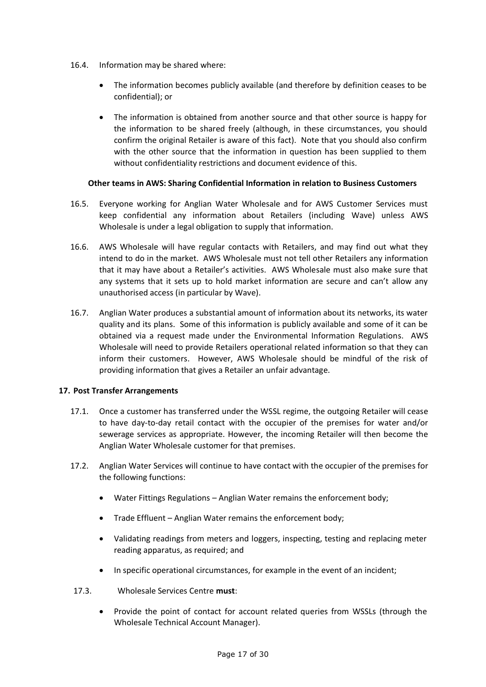- 16.4. Information may be shared where:
	- The information becomes publicly available (and therefore by definition ceases to be confidential); or
	- The information is obtained from another source and that other source is happy for the information to be shared freely (although, in these circumstances, you should confirm the original Retailer is aware of this fact). Note that you should also confirm with the other source that the information in question has been supplied to them without confidentiality restrictions and document evidence of this.

# **Other teams in AWS: Sharing Confidential Information in relation to Business Customers**

- 16.5. Everyone working for Anglian Water Wholesale and for AWS Customer Services must keep confidential any information about Retailers (including Wave) unless AWS Wholesale is under a legal obligation to supply that information.
- 16.6. AWS Wholesale will have regular contacts with Retailers, and may find out what they intend to do in the market. AWS Wholesale must not tell other Retailers any information that it may have about a Retailer's activities. AWS Wholesale must also make sure that any systems that it sets up to hold market information are secure and can't allow any unauthorised access (in particular by Wave).
- 16.7. Anglian Water produces a substantial amount of information about its networks, its water quality and its plans. Some of this information is publicly available and some of it can be obtained via a request made under the Environmental Information Regulations. AWS Wholesale will need to provide Retailers operational related information so that they can inform their customers. However, AWS Wholesale should be mindful of the risk of providing information that gives a Retailer an unfair advantage.

# <span id="page-16-0"></span>**17. Post Transfer Arrangements**

- 17.1. Once a customer has transferred under the WSSL regime, the outgoing Retailer will cease to have day-to-day retail contact with the occupier of the premises for water and/or sewerage services as appropriate. However, the incoming Retailer will then become the Anglian Water Wholesale customer for that premises.
- 17.2. Anglian Water Services will continue to have contact with the occupier of the premises for the following functions:
	- Water Fittings Regulations Anglian Water remains the enforcement body;
	- Trade Effluent Anglian Water remains the enforcement body;
	- Validating readings from meters and loggers, inspecting, testing and replacing meter reading apparatus, as required; and
	- In specific operational circumstances, for example in the event of an incident;
- 17.3. Wholesale Services Centre **must**:
	- Provide the point of contact for account related queries from WSSLs (through the Wholesale Technical Account Manager).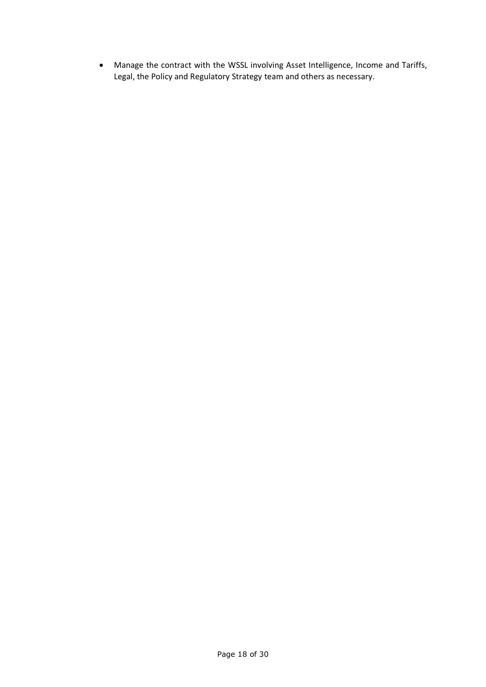• Manage the contract with the WSSL involving Asset Intelligence, Income and Tariffs, Legal, the Policy and Regulatory Strategy team and others as necessary.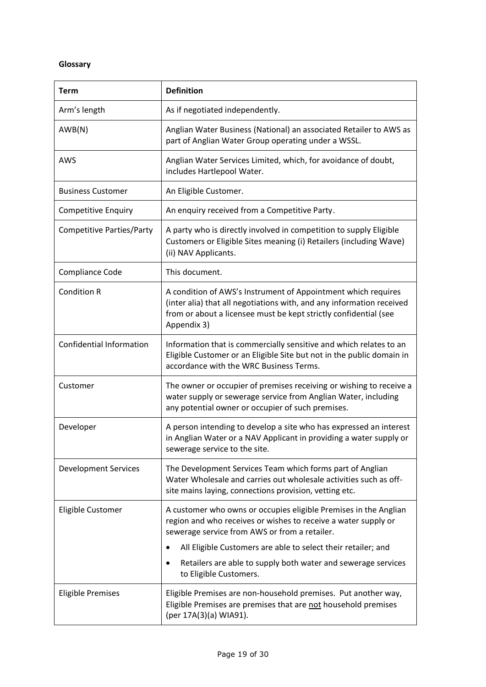# <span id="page-18-0"></span>**Glossary**

| <b>Term</b>                      | <b>Definition</b>                                                                                                                                                                                                         |
|----------------------------------|---------------------------------------------------------------------------------------------------------------------------------------------------------------------------------------------------------------------------|
| Arm's length                     | As if negotiated independently.                                                                                                                                                                                           |
| AWB(N)                           | Anglian Water Business (National) an associated Retailer to AWS as<br>part of Anglian Water Group operating under a WSSL.                                                                                                 |
| AWS                              | Anglian Water Services Limited, which, for avoidance of doubt,<br>includes Hartlepool Water.                                                                                                                              |
| <b>Business Customer</b>         | An Eligible Customer.                                                                                                                                                                                                     |
| <b>Competitive Enquiry</b>       | An enquiry received from a Competitive Party.                                                                                                                                                                             |
| <b>Competitive Parties/Party</b> | A party who is directly involved in competition to supply Eligible<br>Customers or Eligible Sites meaning (i) Retailers (including Wave)<br>(ii) NAV Applicants.                                                          |
| Compliance Code                  | This document.                                                                                                                                                                                                            |
| <b>Condition R</b>               | A condition of AWS's Instrument of Appointment which requires<br>(inter alia) that all negotiations with, and any information received<br>from or about a licensee must be kept strictly confidential (see<br>Appendix 3) |
| <b>Confidential Information</b>  | Information that is commercially sensitive and which relates to an<br>Eligible Customer or an Eligible Site but not in the public domain in<br>accordance with the WRC Business Terms.                                    |
| Customer                         | The owner or occupier of premises receiving or wishing to receive a<br>water supply or sewerage service from Anglian Water, including<br>any potential owner or occupier of such premises.                                |
| Developer                        | A person intending to develop a site who has expressed an interest<br>in Anglian Water or a NAV Applicant in providing a water supply or<br>sewerage service to the site.                                                 |
| <b>Development Services</b>      | The Development Services Team which forms part of Anglian<br>Water Wholesale and carries out wholesale activities such as off-<br>site mains laying, connections provision, vetting etc.                                  |
| <b>Eligible Customer</b>         | A customer who owns or occupies eligible Premises in the Anglian<br>region and who receives or wishes to receive a water supply or<br>sewerage service from AWS or from a retailer.                                       |
|                                  | All Eligible Customers are able to select their retailer; and<br>٠                                                                                                                                                        |
|                                  | Retailers are able to supply both water and sewerage services<br>to Eligible Customers.                                                                                                                                   |
| <b>Eligible Premises</b>         | Eligible Premises are non-household premises. Put another way,<br>Eligible Premises are premises that are not household premises<br>(per 17A(3)(a) WIA91).                                                                |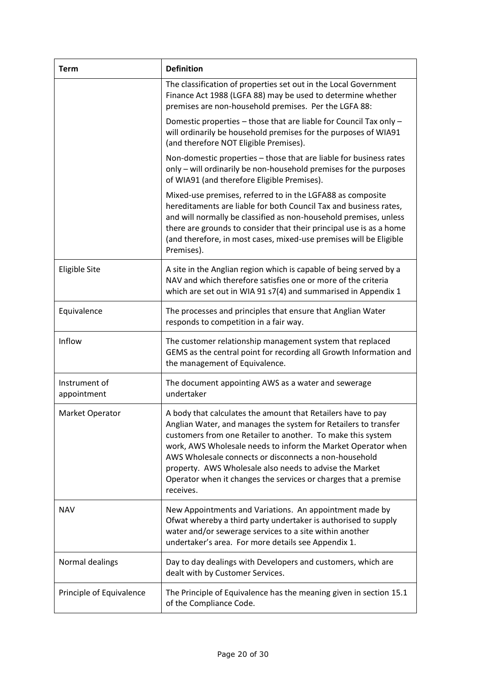| <b>Term</b>                  | <b>Definition</b>                                                                                                                                                                                                                                                                                                                                                                                                                                                  |  |  |  |  |
|------------------------------|--------------------------------------------------------------------------------------------------------------------------------------------------------------------------------------------------------------------------------------------------------------------------------------------------------------------------------------------------------------------------------------------------------------------------------------------------------------------|--|--|--|--|
|                              | The classification of properties set out in the Local Government<br>Finance Act 1988 (LGFA 88) may be used to determine whether<br>premises are non-household premises. Per the LGFA 88:                                                                                                                                                                                                                                                                           |  |  |  |  |
|                              | Domestic properties - those that are liable for Council Tax only -<br>will ordinarily be household premises for the purposes of WIA91<br>(and therefore NOT Eligible Premises).                                                                                                                                                                                                                                                                                    |  |  |  |  |
|                              | Non-domestic properties - those that are liable for business rates<br>only - will ordinarily be non-household premises for the purposes<br>of WIA91 (and therefore Eligible Premises).                                                                                                                                                                                                                                                                             |  |  |  |  |
|                              | Mixed-use premises, referred to in the LGFA88 as composite<br>hereditaments are liable for both Council Tax and business rates,<br>and will normally be classified as non-household premises, unless<br>there are grounds to consider that their principal use is as a home<br>(and therefore, in most cases, mixed-use premises will be Eligible<br>Premises).                                                                                                    |  |  |  |  |
| Eligible Site                | A site in the Anglian region which is capable of being served by a<br>NAV and which therefore satisfies one or more of the criteria<br>which are set out in WIA 91 s7(4) and summarised in Appendix 1                                                                                                                                                                                                                                                              |  |  |  |  |
| Equivalence                  | The processes and principles that ensure that Anglian Water<br>responds to competition in a fair way.                                                                                                                                                                                                                                                                                                                                                              |  |  |  |  |
| Inflow                       | The customer relationship management system that replaced<br>GEMS as the central point for recording all Growth Information and<br>the management of Equivalence.                                                                                                                                                                                                                                                                                                  |  |  |  |  |
| Instrument of<br>appointment | The document appointing AWS as a water and sewerage<br>undertaker                                                                                                                                                                                                                                                                                                                                                                                                  |  |  |  |  |
| Market Operator              | A body that calculates the amount that Retailers have to pay<br>Anglian Water, and manages the system for Retailers to transfer<br>customers from one Retailer to another. To make this system<br>work, AWS Wholesale needs to inform the Market Operator when<br>AWS Wholesale connects or disconnects a non-household<br>property. AWS Wholesale also needs to advise the Market<br>Operator when it changes the services or charges that a premise<br>receives. |  |  |  |  |
| <b>NAV</b>                   | New Appointments and Variations. An appointment made by<br>Ofwat whereby a third party undertaker is authorised to supply<br>water and/or sewerage services to a site within another<br>undertaker's area. For more details see Appendix 1.                                                                                                                                                                                                                        |  |  |  |  |
| Normal dealings              | Day to day dealings with Developers and customers, which are<br>dealt with by Customer Services.                                                                                                                                                                                                                                                                                                                                                                   |  |  |  |  |
| Principle of Equivalence     | The Principle of Equivalence has the meaning given in section 15.1<br>of the Compliance Code.                                                                                                                                                                                                                                                                                                                                                                      |  |  |  |  |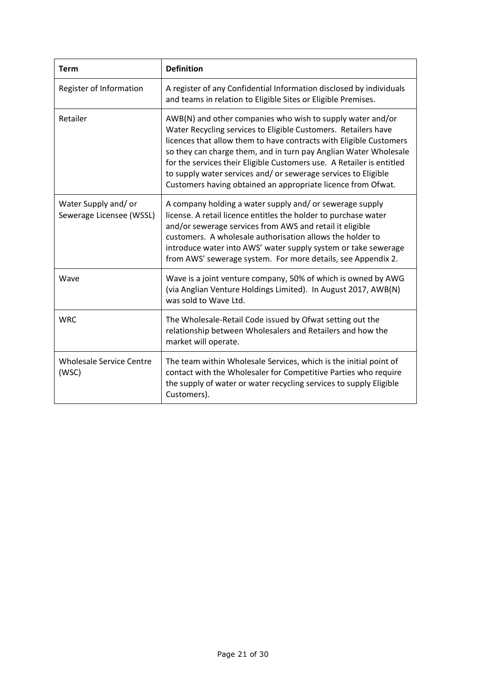| <b>Term</b>                                     | <b>Definition</b>                                                                                                                                                                                                                                                                                                                                                                                                                                                                |  |  |
|-------------------------------------------------|----------------------------------------------------------------------------------------------------------------------------------------------------------------------------------------------------------------------------------------------------------------------------------------------------------------------------------------------------------------------------------------------------------------------------------------------------------------------------------|--|--|
| Register of Information                         | A register of any Confidential Information disclosed by individuals<br>and teams in relation to Eligible Sites or Eligible Premises.                                                                                                                                                                                                                                                                                                                                             |  |  |
| Retailer                                        | AWB(N) and other companies who wish to supply water and/or<br>Water Recycling services to Eligible Customers. Retailers have<br>licences that allow them to have contracts with Eligible Customers<br>so they can charge them, and in turn pay Anglian Water Wholesale<br>for the services their Eligible Customers use. A Retailer is entitled<br>to supply water services and/or sewerage services to Eligible<br>Customers having obtained an appropriate licence from Ofwat. |  |  |
| Water Supply and/or<br>Sewerage Licensee (WSSL) | A company holding a water supply and/or sewerage supply<br>license. A retail licence entitles the holder to purchase water<br>and/or sewerage services from AWS and retail it eligible<br>customers. A wholesale authorisation allows the holder to<br>introduce water into AWS' water supply system or take sewerage<br>from AWS' sewerage system. For more details, see Appendix 2.                                                                                            |  |  |
| Wave                                            | Wave is a joint venture company, 50% of which is owned by AWG<br>(via Anglian Venture Holdings Limited). In August 2017, AWB(N)<br>was sold to Wave Ltd.                                                                                                                                                                                                                                                                                                                         |  |  |
| <b>WRC</b>                                      | The Wholesale-Retail Code issued by Ofwat setting out the<br>relationship between Wholesalers and Retailers and how the<br>market will operate.                                                                                                                                                                                                                                                                                                                                  |  |  |
| <b>Wholesale Service Centre</b><br>(WSC)        | The team within Wholesale Services, which is the initial point of<br>contact with the Wholesaler for Competitive Parties who require<br>the supply of water or water recycling services to supply Eligible<br>Customers).                                                                                                                                                                                                                                                        |  |  |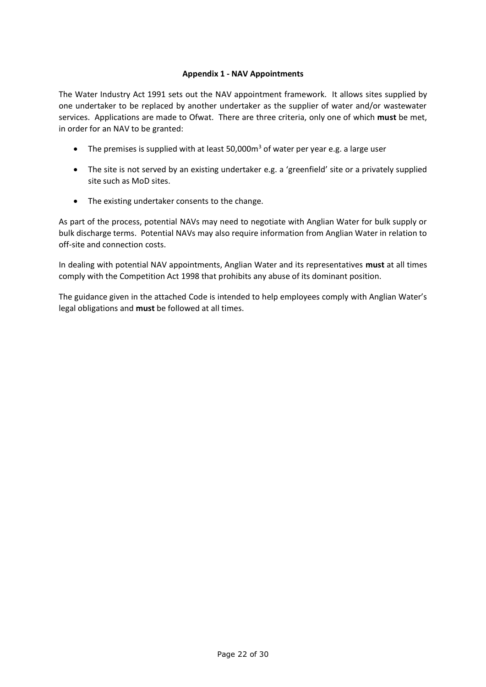# **Appendix 1 - NAV Appointments**

<span id="page-21-0"></span>The Water Industry Act 1991 sets out the NAV appointment framework. It allows sites supplied by one undertaker to be replaced by another undertaker as the supplier of water and/or wastewater services. Applications are made to Ofwat. There are three criteria, only one of which **must** be met, in order for an NAV to be granted:

- The premises is supplied with at least  $50.000m<sup>3</sup>$  of water per year e.g. a large user
- The site is not served by an existing undertaker e.g. a 'greenfield' site or a privately supplied site such as MoD sites.
- The existing undertaker consents to the change.

As part of the process, potential NAVs may need to negotiate with Anglian Water for bulk supply or bulk discharge terms. Potential NAVs may also require information from Anglian Water in relation to off-site and connection costs.

In dealing with potential NAV appointments, Anglian Water and its representatives **must** at all times comply with the Competition Act 1998 that prohibits any abuse of its dominant position.

The guidance given in the attached Code is intended to help employees comply with Anglian Water's legal obligations and **must** be followed at all times.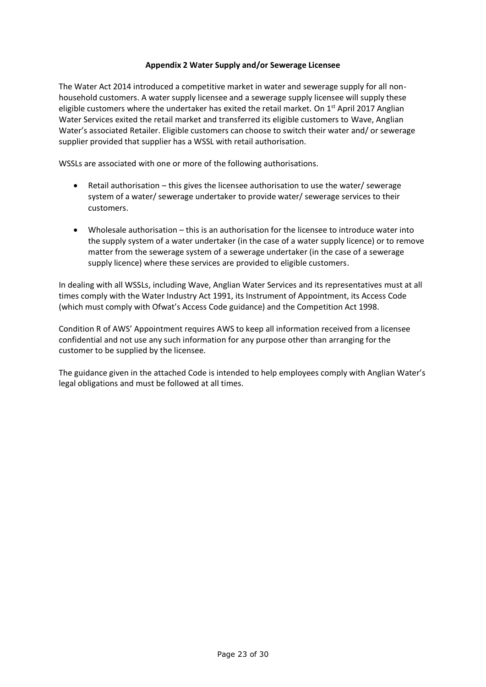# **Appendix 2 Water Supply and/or Sewerage Licensee**

<span id="page-22-0"></span>The Water Act 2014 introduced a competitive market in water and sewerage supply for all nonhousehold customers. A water supply licensee and a sewerage supply licensee will supply these eligible customers where the undertaker has exited the retail market. On  $1<sup>st</sup>$  April 2017 Anglian Water Services exited the retail market and transferred its eligible customers to Wave, Anglian Water's associated Retailer. Eligible customers can choose to switch their water and/ or sewerage supplier provided that supplier has a WSSL with retail authorisation.

WSSLs are associated with one or more of the following authorisations.

- Retail authorisation this gives the licensee authorisation to use the water/ sewerage system of a water/ sewerage undertaker to provide water/ sewerage services to their customers.
- Wholesale authorisation this is an authorisation for the licensee to introduce water into the supply system of a water undertaker (in the case of a water supply licence) or to remove matter from the sewerage system of a sewerage undertaker (in the case of a sewerage supply licence) where these services are provided to eligible customers.

In dealing with all WSSLs, including Wave, Anglian Water Services and its representatives must at all times comply with the Water Industry Act 1991, its Instrument of Appointment, its Access Code (which must comply with Ofwat's Access Code guidance) and the Competition Act 1998.

Condition R of AWS' Appointment requires AWS to keep all information received from a licensee confidential and not use any such information for any purpose other than arranging for the customer to be supplied by the licensee.

The guidance given in the attached Code is intended to help employees comply with Anglian Water's legal obligations and must be followed at all times.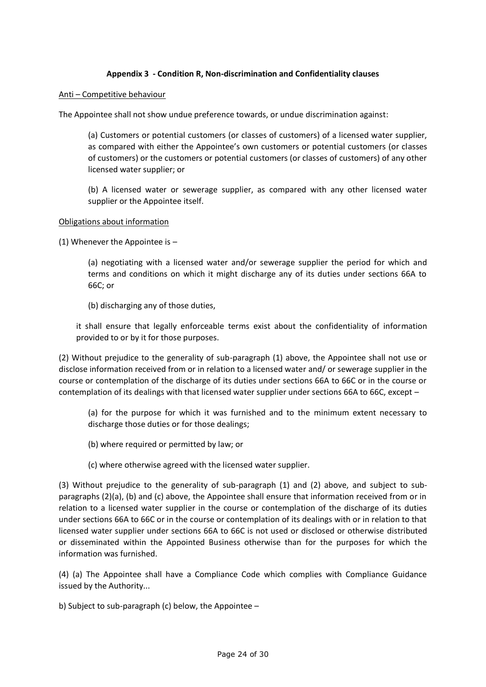# **Appendix 3 - Condition R, Non-discrimination and Confidentiality clauses**

## <span id="page-23-0"></span>Anti – Competitive behaviour

The Appointee shall not show undue preference towards, or undue discrimination against:

(a) Customers or potential customers (or classes of customers) of a licensed water supplier, as compared with either the Appointee's own customers or potential customers (or classes of customers) or the customers or potential customers (or classes of customers) of any other licensed water supplier; or

(b) A licensed water or sewerage supplier, as compared with any other licensed water supplier or the Appointee itself.

#### Obligations about information

(1) Whenever the Appointee is –

(a) negotiating with a licensed water and/or sewerage supplier the period for which and terms and conditions on which it might discharge any of its duties under sections 66A to 66C; or

(b) discharging any of those duties,

it shall ensure that legally enforceable terms exist about the confidentiality of information provided to or by it for those purposes.

(2) Without prejudice to the generality of sub-paragraph (1) above, the Appointee shall not use or disclose information received from or in relation to a licensed water and/ or sewerage supplier in the course or contemplation of the discharge of its duties under sections 66A to 66C or in the course or contemplation of its dealings with that licensed water supplier under sections 66A to 66C, except –

(a) for the purpose for which it was furnished and to the minimum extent necessary to discharge those duties or for those dealings;

- (b) where required or permitted by law; or
- (c) where otherwise agreed with the licensed water supplier.

(3) Without prejudice to the generality of sub-paragraph (1) and (2) above, and subject to subparagraphs (2)(a), (b) and (c) above, the Appointee shall ensure that information received from or in relation to a licensed water supplier in the course or contemplation of the discharge of its duties under sections 66A to 66C or in the course or contemplation of its dealings with or in relation to that licensed water supplier under sections 66A to 66C is not used or disclosed or otherwise distributed or disseminated within the Appointed Business otherwise than for the purposes for which the information was furnished.

(4) (a) The Appointee shall have a Compliance Code which complies with Compliance Guidance issued by the Authority...

b) Subject to sub-paragraph (c) below, the Appointee –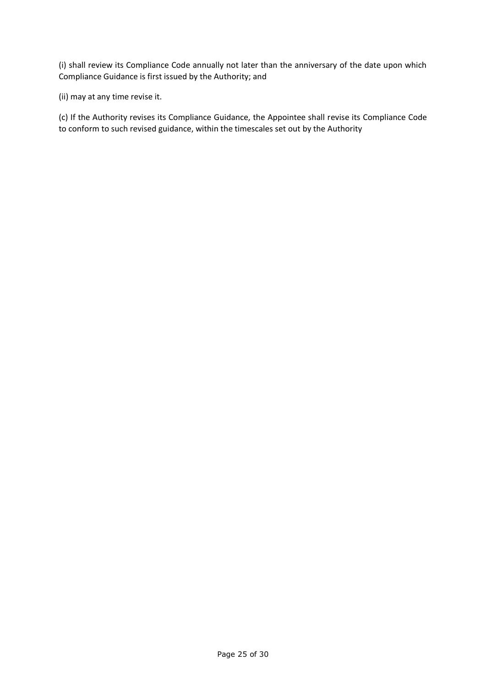(i) shall review its Compliance Code annually not later than the anniversary of the date upon which Compliance Guidance is first issued by the Authority; and

(ii) may at any time revise it.

(c) If the Authority revises its Compliance Guidance, the Appointee shall revise its Compliance Code to conform to such revised guidance, within the timescales set out by the Authority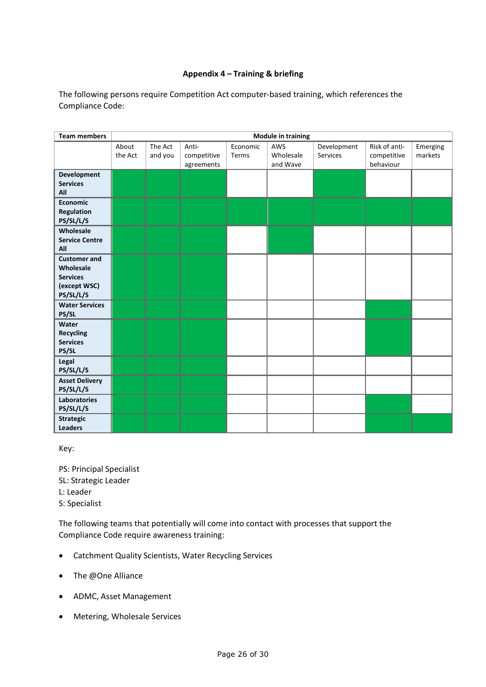# **Appendix 4 – Training & briefing**

<span id="page-25-0"></span>The following persons require Competition Act computer-based training, which references the Compliance Code:

| <b>Team members</b>                 | <b>Module in training</b> |         |                           |          |                  |                         |                          |          |
|-------------------------------------|---------------------------|---------|---------------------------|----------|------------------|-------------------------|--------------------------|----------|
|                                     | About                     | The Act | Anti-                     | Economic | AWS<br>Wholesale | Development<br>Services | Risk of anti-            | Emerging |
|                                     | the Act                   | and you | competitive<br>agreements | Terms    | and Wave         |                         | competitive<br>behaviour | markets  |
| <b>Development</b>                  |                           |         |                           |          |                  |                         |                          |          |
| <b>Services</b><br>All              |                           |         |                           |          |                  |                         |                          |          |
| Economic                            |                           |         |                           |          |                  |                         |                          |          |
| Regulation                          |                           |         |                           |          |                  |                         |                          |          |
| PS/SL/L/S                           |                           |         |                           |          |                  |                         |                          |          |
| Wholesale<br><b>Service Centre</b>  |                           |         |                           |          |                  |                         |                          |          |
| All                                 |                           |         |                           |          |                  |                         |                          |          |
| <b>Customer and</b>                 |                           |         |                           |          |                  |                         |                          |          |
| Wholesale                           |                           |         |                           |          |                  |                         |                          |          |
| <b>Services</b><br>(except WSC)     |                           |         |                           |          |                  |                         |                          |          |
| PS/SL/L/S                           |                           |         |                           |          |                  |                         |                          |          |
| <b>Water Services</b>               |                           |         |                           |          |                  |                         |                          |          |
| PS/SL                               |                           |         |                           |          |                  |                         |                          |          |
| Water                               |                           |         |                           |          |                  |                         |                          |          |
| <b>Recycling</b><br><b>Services</b> |                           |         |                           |          |                  |                         |                          |          |
| PS/SL                               |                           |         |                           |          |                  |                         |                          |          |
| Legal                               |                           |         |                           |          |                  |                         |                          |          |
| PS/SL/L/S                           |                           |         |                           |          |                  |                         |                          |          |
| <b>Asset Delivery</b>               |                           |         |                           |          |                  |                         |                          |          |
| PS/SL/L/S                           |                           |         |                           |          |                  |                         |                          |          |
| Laboratories<br>PS/SL/L/S           |                           |         |                           |          |                  |                         |                          |          |
| <b>Strategic</b>                    |                           |         |                           |          |                  |                         |                          |          |
| <b>Leaders</b>                      |                           |         |                           |          |                  |                         |                          |          |

Key:

PS: Principal Specialist SL: Strategic Leader L: Leader S: Specialist

The following teams that potentially will come into contact with processes that support the Compliance Code require awareness training:

- Catchment Quality Scientists, Water Recycling Services
- The @One Alliance
- ADMC, Asset Management
- Metering, Wholesale Services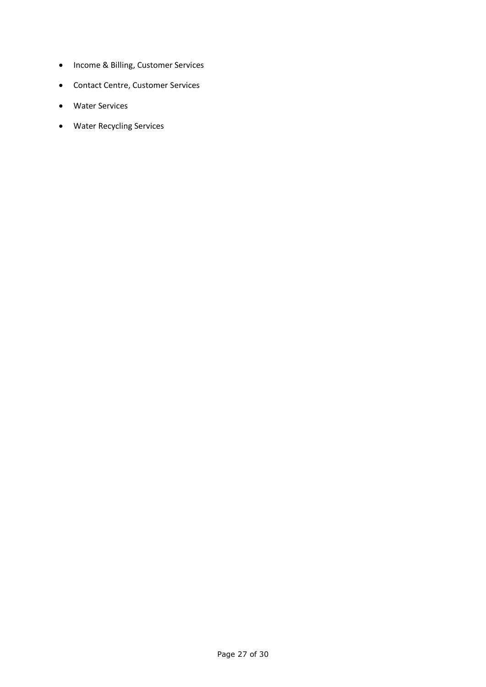- Income & Billing, Customer Services
- Contact Centre, Customer Services
- Water Services
- Water Recycling Services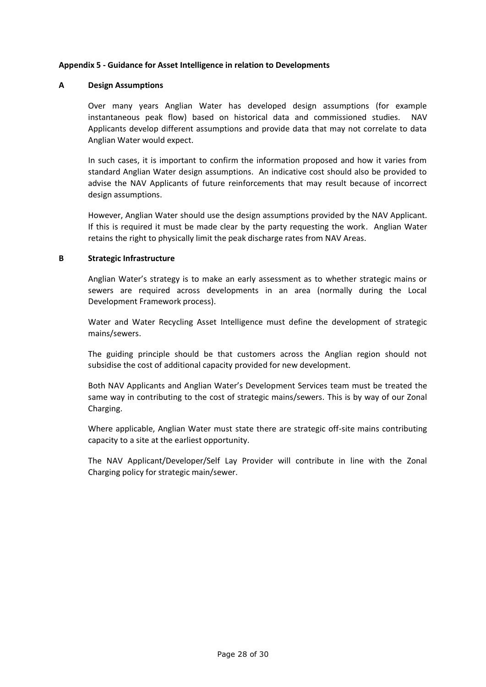# <span id="page-27-0"></span>**Appendix 5 - Guidance for Asset Intelligence in relation to Developments**

#### **A Design Assumptions**

Over many years Anglian Water has developed design assumptions (for example instantaneous peak flow) based on historical data and commissioned studies. NAV Applicants develop different assumptions and provide data that may not correlate to data Anglian Water would expect.

In such cases, it is important to confirm the information proposed and how it varies from standard Anglian Water design assumptions. An indicative cost should also be provided to advise the NAV Applicants of future reinforcements that may result because of incorrect design assumptions.

However, Anglian Water should use the design assumptions provided by the NAV Applicant. If this is required it must be made clear by the party requesting the work. Anglian Water retains the right to physically limit the peak discharge rates from NAV Areas.

#### **B Strategic Infrastructure**

Anglian Water's strategy is to make an early assessment as to whether strategic mains or sewers are required across developments in an area (normally during the Local Development Framework process).

Water and Water Recycling Asset Intelligence must define the development of strategic mains/sewers.

The guiding principle should be that customers across the Anglian region should not subsidise the cost of additional capacity provided for new development.

Both NAV Applicants and Anglian Water's Development Services team must be treated the same way in contributing to the cost of strategic mains/sewers. This is by way of our Zonal Charging.

Where applicable, Anglian Water must state there are strategic off-site mains contributing capacity to a site at the earliest opportunity.

The NAV Applicant/Developer/Self Lay Provider will contribute in line with the Zonal Charging policy for strategic main/sewer.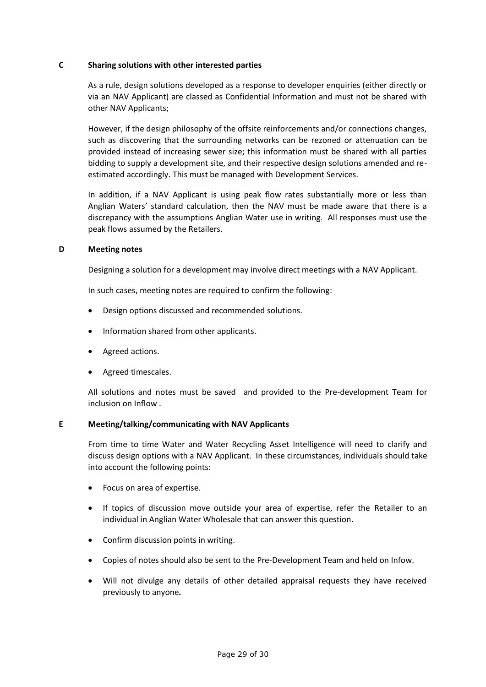# **C Sharing solutions with other interested parties**

As a rule, design solutions developed as a response to developer enquiries (either directly or via an NAV Applicant) are classed as Confidential Information and must not be shared with other NAV Applicants;

However, if the design philosophy of the offsite reinforcements and/or connections changes, such as discovering that the surrounding networks can be rezoned or attenuation can be provided instead of increasing sewer size; this information must be shared with all parties bidding to supply a development site, and their respective design solutions amended and reestimated accordingly. This must be managed with Development Services.

In addition, if a NAV Applicant is using peak flow rates substantially more or less than Anglian Waters' standard calculation, then the NAV must be made aware that there is a discrepancy with the assumptions Anglian Water use in writing. All responses must use the peak flows assumed by the Retailers.

# **D Meeting notes**

Designing a solution for a development may involve direct meetings with a NAV Applicant.

In such cases, meeting notes are required to confirm the following:

- Design options discussed and recommended solutions.
- Information shared from other applicants.
- Agreed actions.
- Agreed timescales.

All solutions and notes must be saved and provided to the Pre-development Team for inclusion on Inflow .

# **E Meeting/talking/communicating with NAV Applicants**

From time to time Water and Water Recycling Asset Intelligence will need to clarify and discuss design options with a NAV Applicant. In these circumstances, individuals should take into account the following points:

- Focus on area of expertise.
- If topics of discussion move outside your area of expertise, refer the Retailer to an individual in Anglian Water Wholesale that can answer this question.
- Confirm discussion points in writing.
- Copies of notes should also be sent to the Pre-Development Team and held on Infow.
- Will not divulge any details of other detailed appraisal requests they have received previously to anyone*.*